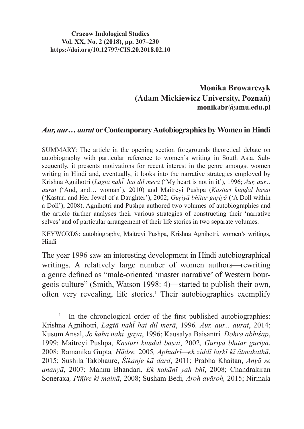## **Cracow Indological Studies Vol. XX, No. 2 (2018), pp. 207–230 https://doi.org/10.12797/CIS.20.2018.02.10**

## **Monika Browarczyk (Adam Mickiewicz University, Poznań) monikabr@amu.edu.pl**

## *Aur, aur***…** *aurat* **or Contemporary Autobiographies by Women in Hindi**

SUMMARY: The article in the opening section foregrounds theoretical debate on autobiography with particular reference to women's writing in South Asia. Subsequently, it presents motivations for recent interest in the genre amongst women writing in Hindi and, eventually, it looks into the narrative strategies employed by Krishna Agnihotri (*Lagtā nahī hai dil merā ̃* ('My heart is not in it'), 1996; *Aur, aur... aurat* ('And, and… woman'), 2010) and Maitreyi Pushpa (*Kasturī kuṇḍal basai*  ('Kasturi and Her Jewel of a Daughter'), 2002; *Guṛiyā bhītar guṛiyā* ('A Doll within a Doll'), 2008). Agnihotri and Pushpa authored two volumes of autobiographies and the article further analyses their various strategies of constructing their 'narrative selves' and of particular arrangement of their life stories in two separate volumes.

KEYWORDS: autobiography, Maitreyi Pushpa, Krishna Agnihotri, women's writings, Hindi

The year 1996 saw an interesting development in Hindi autobiographical writings. A relatively large number of women authors—rewriting a genre defined as "male-oriented 'master narrative' of Western bourgeois culture" (Smith, Watson 1998: 4)—started to publish their own, often very revealing, life stories.<sup>1</sup> Their autobiographies exemplify

<sup>&</sup>lt;sup>1</sup> In the chronological order of the first published autobiographies: Krishna Agnihotri, *Lagtā nahī hai dil merā ̃* , 1996*, Aur, aur... aurat*, 2014; Kusum Ansal, *Jo kahā nahī gayā ̃* , 1996; Kausalya Baisantri*, Dohrā abhiśāp*, 1999; Maitreyi Pushpa, *Kasturī kuṇḍal basai*, 2002*, Guṛiyā bhītar guṛiyā*, 2008; Ramanika Gupta*, Hādse,* 2005*, Aphudrī—ek ziddī laṛkī kī ātmakathā*, 2015; Sushila Takbhaure, *Śikanje kā dard*, 2011; Prabha Khaitan, *Anyā se ananyā*, 2007; Mannu Bhandari*, Ek kahānī yah bhī*, 2008; Chandrakiran Soneraxa*, Pin*͂*jre ki mainā*, 2008; Susham Bedi*, Aroh avāroh,* 2015; Nirmala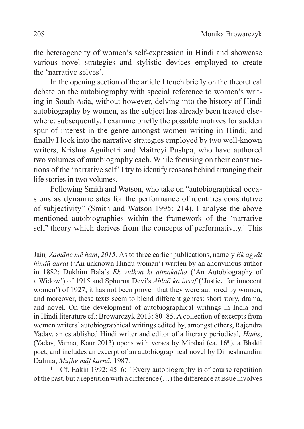the heterogeneity of women's self-expression in Hindi and showcase various novel strategies and stylistic devices employed to create the 'narrative selves'.

In the opening section of the article I touch briefly on the theoretical debate on the autobiography with special reference to women's writing in South Asia, without however, delving into the history of Hindi autobiography by women, as the subject has already been treated elsewhere; subsequently, I examine briefly the possible motives for sudden spur of interest in the genre amongst women writing in Hindi; and finally I look into the narrative strategies employed by two well-known writers, Krishna Agnihotri and Maitreyi Pushpa, who have authored two volumes of autobiography each. While focusing on their constructions of the 'narrative self'I try to identify reasons behind arranging their life stories in two volumes.

Following Smith and Watson, who take on "autobiographical occasions as dynamic sites for the performance of identities constitutive of subjectivity" (Smith and Watson 1995: 214), I analyse the above mentioned autobiographies within the framework of the 'narrative self' theory which derives from the concepts of performativity.<sup>1</sup> This

Jain*, Zamāne mẽ ham*, *2015.* As to three earlier publications, namely *Ek agyāt hindū aurat* ('An unknown Hindu woman') written by an anonymous author in 1882; Dukhinī Bālā's *Ek vidhvā kī ātmakathā* ('An Autobiography of a Widow') of 1915 and Sphurna Devi's *Ablāõ kā insāf* ('Justice for innocent women') of 1927, it has not been proven that they were authored by women, and moreover, these texts seem to blend different genres: short story, drama, and novel. On the development of autobiographical writings in India and in Hindi literature cf.: Browarczyk 2013: 80–85. A collection of excerpts from women writers' autobiographical writings edited by, amongst others, Rajendra Yadav, an established Hindi writer and editor of a literary periodical, *Hams*, (Yadav, Varma, Kaur 2013) opens with verses by Mirabai (ca.  $16<sup>th</sup>$ ), a Bhakti poet, and includes an excerpt of an autobiographical novel by Dimeshnandini Dalmia, *Mujhe māf karnā*, 1987*.*

<sup>1</sup> Cf. Eakin 1992: 45–6: *"*Every autobiography is of course repetition of the past, but a repetition with a difference  $(\ldots)$  the difference at issue involves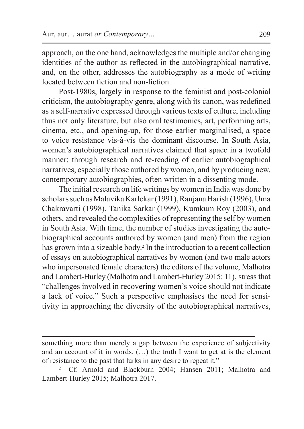approach, on the one hand, acknowledges the multiple and/or changing identities of the author as reflected in the autobiographical narrative, and, on the other, addresses the autobiography as a mode of writing located between fiction and non-fiction.

Post-1980s, largely in response to the feminist and post-colonial criticism, the autobiography genre, along with its canon, was redefined as a self-narrative expressed through various texts of culture, including thus not only literature, but also oral testimonies, art, performing arts, cinema, etc., and opening-up, for those earlier marginalised, a space to voice resistance vis-à-vis the dominant discourse. In South Asia, women's autobiographical narratives claimed that space in a twofold manner: through research and re-reading of earlier autobiographical narratives, especially those authored by women, and by producing new, contemporary autobiographies, often written in a dissenting mode.

The initial research on life writings by women in India was done by scholars such as Malavika Karlekar (1991), Ranjana Harish (1996), Uma Chakravarti (1998), Tanika Sarkar (1999), Kumkum Roy (2003), and others, and revealed the complexities of representing the self by women in South Asia. With time, the number of studies investigating the autobiographical accounts authored by women (and men) from the region has grown into a sizeable body.<sup>2</sup> In the introduction to a recent collection of essays on autobiographical narratives by women (and two male actors who impersonated female characters) the editors of the volume, Malhotra and Lambert-Hurley (Malhotra and Lambert-Hurley 2015: 11), stress that "challenges involved in recovering women's voice should not indicate a lack of voice*.*" Such a perspective emphasises the need for sensitivity in approaching the diversity of the autobiographical narratives,

something more than merely a gap between the experience of subjectivity and an account of it in words. (…) the truth I want to get at is the element of resistance to the past that lurks in any desire to repeat it*.*"

<sup>2</sup> Cf. Arnold and Blackburn 2004; Hansen 2011; Malhotra and Lambert-Hurley 2015; Malhotra 2017.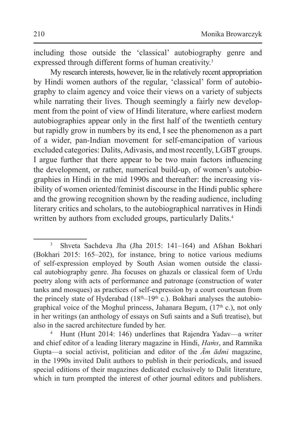including those outside the 'classical' autobiography genre and expressed through different forms of human creativity.<sup>3</sup>

My research interests, however, lie in the relatively recent appropriation by Hindi women authors of the regular, 'classical' form of autobiography to claim agency and voice their views on a variety of subjects while narrating their lives. Though seemingly a fairly new development from the point of view of Hindi literature, where earliest modern autobiographies appear only in the first half of the twentieth century but rapidly grow in numbers by its end, I see the phenomenon as a part of a wider, pan-Indian movement for self-emancipation of various excluded categories: Dalits,Adivasis, and most recently, LGBT groups. I argue further that there appear to be two main factors influencing the development, or rather, numerical build-up, of women's autobiographies in Hindi in the mid 1990s and thereafter: the increasing visibility of women oriented/feminist discourse in the Hindi public sphere and the growing recognition shown by the reading audience, including literary critics and scholars, to the autobiographical narratives in Hindi written by authors from excluded groups, particularly Dalits.<sup>4</sup>

<sup>3</sup> Shveta Sachdeva Jha (Jha 2015: 141–164) and Afshan Bokhari (Bokhari 2015: 165–202), for instance, bring to notice various mediums of self-expression employed by South Asian women outside the classical autobiography genre. Jha focuses on ghazals or classical form of Urdu poetry along with acts of performance and patronage (construction of water tanks and mosques) as practices of self-expression by a court courtesan from the princely state of Hyderabad  $(18<sup>th</sup>-19<sup>th</sup> c.)$ . Bokhari analyses the autobiographical voice of the Moghul princess, Jahanara Begum,  $(17<sup>th</sup> c)$ , not only in her writings (an anthology of essays on Sufi saints and a Sufi treatise), but also in the sacred architecture funded by her.

<sup>4</sup> Hunt (Hunt 2014: 146) underlines that Rajendra Yadav—a writer and chief editor of a leading literary magazine in Hindi, *Haṁs*, and Ramnika Gupta—a social activist, politician and editor of the *Ām ādmi* magazine, in the 1990s invited Dalit authors to publish in their periodicals, and issued special editions of their magazines dedicated exclusively to Dalit literature, which in turn prompted the interest of other journal editors and publishers.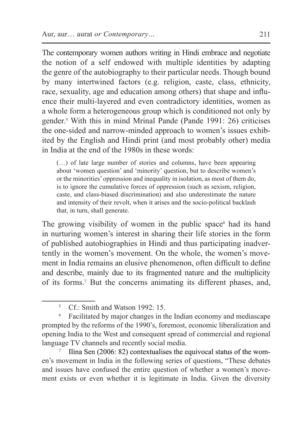The contemporary women authors writing in Hindi embrace and negotiate the notion of a self endowed with multiple identities by adapting the genre of the autobiography to their particular needs. Though bound by many intertwined factors (e.g. religion, caste, class, ethnicity, race, sexuality, age and education among others) that shape and influence their multi-layered and even contradictory identities, women as a whole form a heterogeneous group which is conditioned not only by gender.5 With this in mind Mrinal Pande (Pande 1991: 26) criticises the one-sided and narrow-minded approach to women's issues exhibited by the English and Hindi print (and most probably other) media in India at the end of the 1980s in these words:

(…) of late large number of stories and columns, have been appearing about 'women question' and 'minority' question, but to describe women's or the minorities' oppression and inequality in isolation, as most of them do, is to ignore the cumulative forces of oppression (such as sexism, religion, caste, and class-biased discrimination) and also underestimate the nature and intensity of their revolt, when it arises and the socio-political backlash that, in turn, shall generate.

The growing visibility of women in the public space<sup>6</sup> had its hand in nurturing women's interest in sharing their life stories in the form of published autobiographies in Hindi and thus participating inadvertently in the women's movement. On the whole, the women's movement in India remains an elusive phenomenon, often difficult to define and describe, mainly due to its fragmented nature and the multiplicity of its forms.7 But the concerns animating its different phases, and,

en's movement in India in the following series of questions, "These debates and issues have confused the entire question of whether a women's movement exists or even whether it is legitimate in India. Given the diversity

<sup>5</sup> Cf.: Smith and Watson 1992: 15.

<sup>6</sup> Facilitated by major changes in the Indian economy and mediascape prompted by the reforms of the 1990's, foremost, economic liberalization and opening India to the West and consequent spread of commercial and regional language TV channels and recently social media.<br><sup>7</sup> Ilina Sen (2006: 82) contextualises the equivocal status of the wom-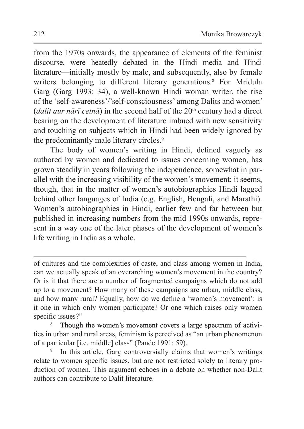from the 1970s onwards, the appearance of elements of the feminist discourse, were heatedly debated in the Hindi media and Hindi literature—initially mostly by male, and subsequently, also by female writers belonging to different literary generations.<sup>8</sup> For Mridula Garg (Garg 1993: 34), a well-known Hindi woman writer, the rise of the 'self-awareness'/'self-consciousness' among Dalits and women' (*dalit aur nārī cetnā*) in the second half of the  $20<sup>th</sup>$  century had a direct bearing on the development of literature imbued with new sensitivity and touching on subjects which in Hindi had been widely ignored by the predominantly male literary circles.<sup>9</sup>

The body of women's writing in Hindi, defined vaguely as authored by women and dedicated to issues concerning women, has grown steadily in years following the independence, somewhat in parallel with the increasing visibility of the women's movement; it seems, though, that in the matter of women's autobiographies Hindi lagged behind other languages of India (e.g. English, Bengali, and Marathi). Women's autobiographies in Hindi, earlier few and far between but published in increasing numbers from the mid 1990s onwards, represent in a way one of the later phases of the development of women's life writing in India as a whole.

of cultures and the complexities of caste, and class among women in India, can we actually speak of an overarching women's movement in the country? Or is it that there are a number of fragmented campaigns which do not add up to a movement? How many of these campaigns are urban, middle class, and how many rural? Equally, how do we define a 'women's movement': is it one in which only women participate? Or one which raises only women specific issues?"

Though the women's movement covers a large spectrum of activities in urban and rural areas, feminism is perceived as "an urban phenomenon of a particular [i.e. middle] class" (Pande 1991: 59).

In this article, Garg controversially claims that women's writings relate to women specific issues, but are not restricted solely to literary production of women. This argument echoes in a debate on whether non-Dalit authors can contribute to Dalit literature.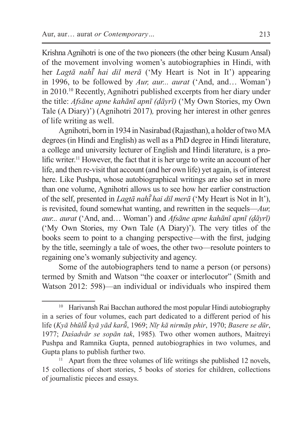Krishna Agnihotri is one of the two pioneers (the other being Kusum Ansal) of the movement involving women's autobiographies in Hindi, with her *Lagtā nahī hai dil merā ̃* ('My Heart is Not in It') appearing in 1996, to be followed by *Aur, aur... aurat* ('And, and… Woman') in 2010.10 Recently, Agnihotri published excerpts from her diary under the title: *Afsāne apne kahānī apnī (ḍāyrī)* ('My Own Stories, my Own Tale (A Diary)') (Agnihotri 2017)*,* proving her interest in other genres of life writing as well.

Agnihotri, born in 1934 in Nasirabad (Rajasthan), a holder of two MA degrees (in Hindi and English) as well as a PhD degree in Hindi literature, a college and university lecturer of English and Hindi literature, is a prolific writer.<sup>11</sup> However, the fact that it is her urge to write an account of her life, and then re-visit that account (and her own life) yet again, is of interest here. Like Pushpa, whose autobiographical writings are also set in more than one volume, Agnihotri allows us to see how her earlier construction of the self, presented in *Lagtā nahī͂ hai dil merā* ('My Heart is Not in It'), is revisited, found somewhat wanting, and rewritten in the sequels—*Aur, aur... aurat* ('And, and… Woman') and *Afsāne apne kahānī apnī (ḍāyrī)*  ('My Own Stories, my Own Tale (A Diary)'). The very titles of the books seem to point to a changing perspective—with the first, judging by the title, seemingly a tale of woes, the other two—resolute pointers to regaining one's womanly subjectivity and agency.

Some of the autobiographers tend to name a person (or persons) termed by Smith and Watson "the coaxer or interlocutor" (Smith and Watson 2012: 598)—an individual or individuals who inspired them

<sup>&</sup>lt;sup>10</sup> Harivansh Rai Bacchan authored the most popular Hindi autobiography in a series of four volumes, each part dedicated to a different period of his life (*Kyā bhūlū͂ kyā yād karū͂*, 1969; *Nīṛ kā nirmāṇ phir*, 1970; *Basere se dūr*, 1977; *Daśadvār se sopān tak*, 1985)*.* Two other women authors, Maitreyi Pushpa and Ramnika Gupta, penned autobiographies in two volumes, and Gupta plans to publish further two.

Apart from the three volumes of life writings she published 12 novels, 15 collections of short stories, 5 books of stories for children, collections of journalistic pieces and essays.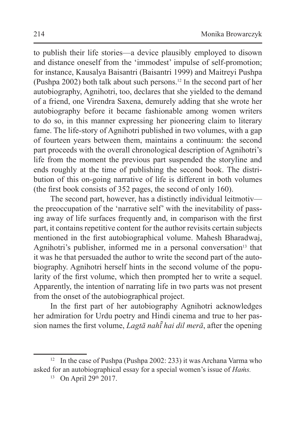to publish their life stories—a device plausibly employed to disown and distance oneself from the 'immodest' impulse of self-promotion; for instance, Kausalya Baisantri (Baisantri 1999) and Maitreyi Pushpa (Pushpa 2002) both talk about such persons.<sup>12</sup> In the second part of her autobiography, Agnihotri, too, declares that she yielded to the demand of a friend, one Virendra Saxena, demurely adding that she wrote her autobiography before it became fashionable among women writers to do so, in this manner expressing her pioneering claim to literary fame. The life-story of Agnihotri published in two volumes, with a gap of fourteen years between them, maintains a continuum: the second part proceeds with the overall chronological description of Agnihotri's life from the moment the previous part suspended the storyline and ends roughly at the time of publishing the second book. The distribution of this on-going narrative of life is different in both volumes (the first book consists of 352 pages, the second of only 160).

The second part, however, has a distinctly individual leitmotiv the preoccupation of the 'narrative self' with the inevitability of passing away of life surfaces frequently and, in comparison with the first part, it contains repetitive content for the author revisits certain subjects mentioned in the first autobiographical volume. Mahesh Bharadwaj, Agnihotri's publisher, informed me in a personal conversation $13$  that it was he that persuaded the author to write the second part of the autobiography. Agnihotri herself hints in the second volume of the popularity of the first volume, which then prompted her to write a sequel. Apparently, the intention of narrating life in two parts was not present from the onset of the autobiographical project.

In the first part of her autobiography Agnihotri acknowledges her admiration for Urdu poetry and Hindi cinema and true to her passion names the first volume, *Lagtā nahī͂ hai dil merā*, after the opening

<sup>&</sup>lt;sup>12</sup> In the case of Pushpa (Pushpa 2002: 233) it was Archana Varma who asked for an autobiographical essay for a special women's issue of *Haṁs.*

 $13$  On April 29<sup>th</sup> 2017.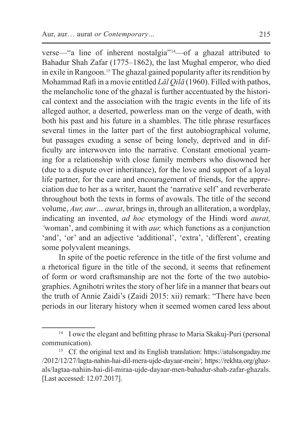verse—"a line of inherent nostalgia"14—of a ghazal attributed to Bahadur Shah Zafar (1775–1862), the last Mughal emperor, who died in exile in Rangoon.15 The ghazal gained popularity after its rendition by Mohammad Rafi in a movie entitled *Lāl Qilā* (1960). Filled with pathos, the melancholic tone of the ghazal is further accentuated by the historical context and the association with the tragic events in the life of its alleged author, a deserted, powerless man on the verge of death, with both his past and his future in a shambles. The title phrase resurfaces several times in the latter part of the first autobiographical volume, but passages exuding a sense of being lonely, deprived and in difficulty are interwoven into the narrative. Constant emotional yearning for a relationship with close family members who disowned her (due to a dispute over inheritance), for the love and support of a loyal life partner, for the care and encouragement of friends, for the appreciation due to her as a writer, haunt the 'narrative self' and reverberate throughout both the texts in forms of avowals. The title of the second volume, *Aur, aur… aurat*, bringsin, through an alliteration, a wordplay, indicating an invented, *ad hoc* etymology of the Hindi word *aurat, '*woman', and combining it with *aur,* which functions as a conjunction 'and', 'or' and an adjective 'additional', 'extra', 'different', creating some polyvalent meanings.

In spite of the poetic reference in the title of the first volume and a rhetorical figure in the title of the second, it seems that refinement of form or word craftsmanship are not the forte of the two autobiographies. Agnihotri writes the story of her life in a manner that bears out the truth of Annie Zaidi's (Zaidi 2015: xii) remark: "There have been periods in our literary history when it seemed women cared less about

<sup>&</sup>lt;sup>14</sup> I owe the elegant and befitting phrase to Maria Skakuj-Puri (personal communication).

<sup>15</sup> Cf. the original text and its English translation: https://atulsongaday.me /2012/12/27/lagta-nahin-hai-dil-mera-ujde-dayaar-mein/; https://rekhta.org/ghazals/lagtaa-nahiin-hai-dil-miraa-ujde-dayaar-men-bahadur-shah-zafar-ghazals. [Last accessed: 12.07.2017].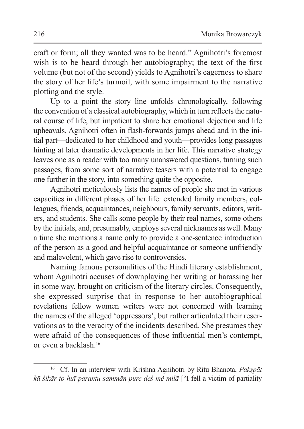craft or form; all they wanted was to be heard." Agnihotri's foremost wish is to be heard through her autobiography; the text of the first volume (but not of the second) yields to Agnihotri's eagerness to share the story of her life's turmoil, with some impairment to the narrative plotting and the style.

Up to a point the story line unfolds chronologically, following the convention of a classical autobiography, which in turn reflects the natural course of life, but impatient to share her emotional dejection and life upheavals, Agnihotri often in flash-forwards jumps ahead and in the initial part—dedicated to her childhood and youth—provides long passages hinting at later dramatic developments in her life. This narrative strategy leaves one as a reader with too many unanswered questions, turning such passages, from some sort of narrative teasers with a potential to engage one further in the story, into something quite the opposite.

Agnihotri meticulously lists the names of people she met in various capacities in different phases of her life: extended family members, colleagues, friends, acquaintances, neighbours, family servants, editors, writers, and students. She calls some people by their real names, some others by the initials, and, presumably, employs several nicknames as well. Many a time she mentions a name only to provide a one-sentence introduction of the person as a good and helpful acquaintance or someone unfriendly and malevolent, which gave rise to controversies.

Naming famous personalities of the Hindi literary establishment, whom Agnihotri accuses of downplaying her writing or harassing her in some way, brought on criticism of the literary circles. Consequently, she expressed surprise that in response to her autobiographical revelations fellow women writers were not concerned with learning the names of the alleged 'oppressors', but rather articulated their reservations as to the veracity of the incidents described. She presumes they were afraid of the consequences of those influential men's contempt, or even a backlash<sup>16</sup>

<sup>16</sup> Cf. In an interview with Krishna Agnihotri by Ritu Bhanota, *Pakṣpāt kā śikār to huī parantu sammān pure deś mẽ milā* ["I fell a victim of partiality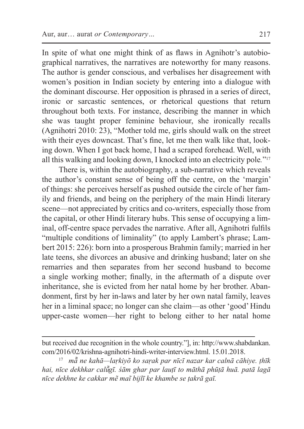In spite of what one might think of as flaws in Agnihotr's autobiographical narratives, the narratives are noteworthy for many reasons. The author is gender conscious, and verbalises her disagreement with women's position in Indian society by entering into a dialogue with the dominant discourse. Her opposition is phrased in a series of direct, ironic or sarcastic sentences, or rhetorical questions that return throughout both texts. For instance, describing the manner in which she was taught proper feminine behaviour, she ironically recalls (Agnihotri 2010: 23), "Mother told me, girls should walk on the street with their eyes downcast. That's fine, let me then walk like that, looking down. When I got back home, I had a scraped forehead. Well, with all this walking and looking down, I knocked into an electricity pole*.*"<sup>17</sup>

There is, within the autobiography, a sub-narrative which reveals the author's constant sense of being off the centre, on the 'margin' of things: she perceives herself as pushed outside the circle of her family and friends, and being on the periphery of the main Hindi literary scene—not appreciated by critics and co-writers, especially those from the capital, or other Hindi literary hubs. This sense of occupying a liminal, off-centre space pervades the narrative. After all, Agnihotri fulfils "multiple conditions of liminality" (to apply Lambert's phrase; Lambert 2015: 226): born into a prosperous Brahmin family; married in her late teens, she divorces an abusive and drinking husband; later on she remarries and then separates from her second husband to become a single working mother; finally, in the aftermath of a dispute over inheritance, she is evicted from her natal home by her brother. Abandonment, first by her in-laws and later by her own natal family, leaves her in a liminal space; no longer can she claim—as other 'good' Hindu upper-caste women—her right to belong either to her natal home

but received due recognition in the whole country."], in: http://www.shabdankan. com/2016/02/krishna-agnihotri-hindi-writer-interview.html. 15.01.2018.

<sup>17</sup> *mā͂ ne kahā—laṛkiyõ ko saṛak par nīcī nazar kar calnā cāhiye. ṭhīk hai, nīce dekhkar calū͂gī. śām ghar par lauṭī to māthā phūṭā huā. patā lagā nīce dekhne ke cakkar mẽ maĩ bijlī ke khambe se ṭakrā gaī.*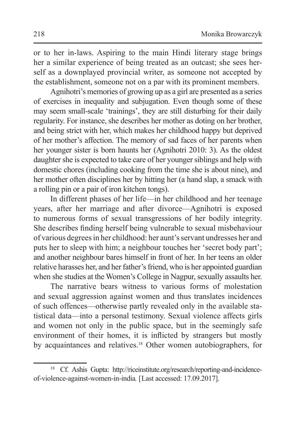or to her in-laws. Aspiring to the main Hindi literary stage brings her a similar experience of being treated as an outcast; she sees herself as a downplayed provincial writer, as someone not accepted by the establishment, someone not on a par with its prominent members.

Agnihotri's memories of growing up as a girl are presented as a series of exercises in inequality and subjugation. Even though some of these may seem small-scale 'trainings', they are still disturbing for their daily regularity. For instance, she describes her mother as doting on her brother, and being strict with her, which makes her childhood happy but deprived of her mother's affection. The memory of sad faces of her parents when her younger sister is born haunts her (Agnihotri 2010: 3). As the oldest daughter she is expected to take care of her younger siblings and help with domestic chores (including cooking from the time she is about nine), and her mother often disciplines her by hitting her (a hand slap, a smack with a rolling pin or a pair of iron kitchen tongs).

In different phases of her life—in her childhood and her teenage years, after her marriage and after divorce—Agnihotri is exposed to numerous forms of sexual transgressions of her bodily integrity. She describes finding herself being vulnerable to sexual misbehaviour of various degrees in her childhood: her aunt's servant undresses her and puts her to sleep with him; a neighbour touches her 'secret body part'; and another neighbour bares himself in front of her. In her teens an older relative harasses her, and her father's friend, who is her appointed guardian when she studies at the Women's College in Nagpur, sexually assaults her.

The narrative bears witness to various forms of molestation and sexual aggression against women and thus translates incidences of such offences—otherwise partly revealed only in the available statistical data—into a personal testimony. Sexual violence affects girls and women not only in the public space, but in the seemingly safe environment of their homes, it is inflicted by strangers but mostly by acquaintances and relatives.<sup>18</sup> Other women autobiographers, for

<sup>18</sup> Cf. Ashis Gupta: http://riceinstitute.org/research/reporting-and-incidenceof-violence-against-women-in-india*.* [Last accessed: 17.09.2017].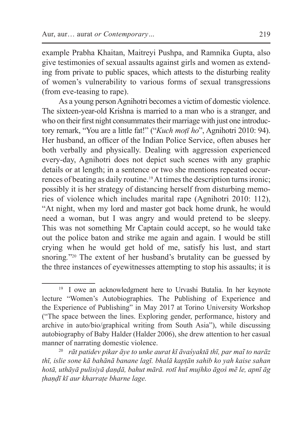example Prabha Khaitan, Maitreyi Pushpa, and Ramnika Gupta, also give testimonies of sexual assaults against girls and women as extending from private to public spaces, which attests to the disturbing reality of women's vulnerability to various forms of sexual transgressions (from eve-teasing to rape).

As a young person Agnihotri becomes a victim of domestic violence. The sixteen-year-old Krishna is married to a man who is a stranger, and who on their first night consummates their marriage with just one introductory remark, "You are a little fat!" ("*Kuch moṭī ho*", Agnihotri 2010: 94). Her husband, an officer of the Indian Police Service, often abuses her both verbally and physically. Dealing with aggression experienced every-day, Agnihotri does not depict such scenes with any graphic details or at length; in a sentence or two she mentions repeated occurrences of beating as daily routine.<sup>19</sup> At times the description turns ironic; possibly it is her strategy of distancing herself from disturbing memories of violence which includes marital rape (Agnihotri 2010: 112), "At night, when my lord and master got back home drunk, he would need a woman, but I was angry and would pretend to be sleepy. This was not something Mr Captain could accept, so he would take out the police baton and strike me again and again. I would be still crying when he would get hold of me, satisfy his lust, and start snoring<sup>220</sup> The extent of her husband's brutality can be guessed by the three instances of eyewitnesses attempting to stop his assaults; it is

<sup>&</sup>lt;sup>19</sup> I owe an acknowledgment here to Urvashi Butalia. In her keynote lecture "Women's Autobiographies. The Publishing of Experience and the Experience of Publishing" in May 2017 at Torino University Workshop ("The space between the lines. Exploring gender, performance, history and archive in auto/bio/graphical writing from South Asia"), while discussing autobiography of Baby Halder (Halder 2006), she drew attention to her casual manner of narrating domestic violence.

<sup>20</sup> *rāt patidev pikar āye to unke aurat kī āvaśyaktā thī, par maĩ to narāz thī, islie sone kā bahānā banane lagī. bhalā kapṭān sahib ko yah kaise sahan hotā, uthāyā pulisiyā ḍaṇḍā, bahut mārā. rotī huī mujhko āgoś mẽ le, apnī āg ṭhaṇḍī kī aur kharraṭe bharne lage.*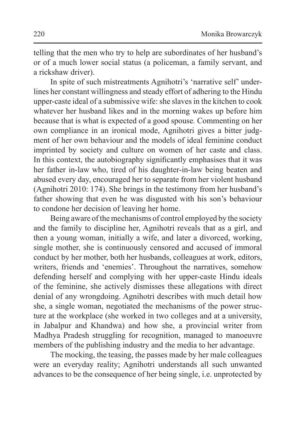telling that the men who try to help are subordinates of her husband's or of a much lower social status (a policeman, a family servant, and a rickshaw driver).

In spite of such mistreatments Agnihotri's 'narrative self' underlines her constant willingness and steady effort of adhering to the Hindu upper-caste ideal of a submissive wife: she slaves in the kitchen to cook whatever her husband likes and in the morning wakes up before him because that is what is expected of a good spouse*.* Commenting on her own compliance in an ironical mode, Agnihotri gives a bitter judgment of her own behaviour and the models of ideal feminine conduct imprinted by society and culture on women of her caste and class. In this context, the autobiography significantly emphasises that it was her father in-law who, tired of his daughter-in-law being beaten and abused every day, encouraged her to separate from her violent husband (Agnihotri 2010: 174). She brings in the testimony from her husband's father showing that even he was disgusted with his son's behaviour to condone her decision of leaving her home.

Being aware of the mechanisms of control employed by the society and the family to discipline her, Agnihotri reveals that as a girl, and then a young woman, initially a wife, and later a divorced, working, single mother, she is continuously censored and accused of immoral conduct by her mother, both her husbands, colleagues at work, editors, writers, friends and 'enemies'. Throughout the narratives, somehow defending herself and complying with her upper-caste Hindu ideals of the feminine, she actively dismisses these allegations with direct denial of any wrongdoing. Agnihotri describes with much detail how she, a single woman, negotiated the mechanisms of the power structure at the workplace (she worked in two colleges and at a university, in Jabalpur and Khandwa) and how she, a provincial writer from Madhya Pradesh struggling for recognition, managed to manoeuvre members of the publishing industry and the media to her advantage.

The mocking, the teasing, the passes made by her male colleagues were an everyday reality; Agnihotri understands all such unwanted advances to be the consequence of her being single, i.e. unprotected by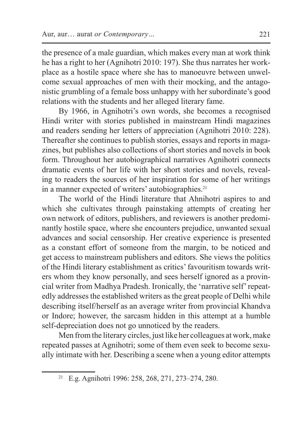the presence of a male guardian, which makes every man at work think he has a right to her (Agnihotri 2010: 197). She thus narrates her workplace as a hostile space where she has to manoeuvre between unwelcome sexual approaches of men with their mocking, and the antagonistic grumbling of a female boss unhappy with her subordinate's good relations with the students and her alleged literary fame.

By 1966, in Agnihotri's own words, she becomes a recognised Hindi writer with stories published in mainstream Hindi magazines and readers sending her letters of appreciation (Agnihotri 2010: 228). Thereafter she continues to publish stories, essays and reports in magazines, but publishes also collections of short stories and novels in book form. Throughout her autobiographical narratives Agnihotri connects dramatic events of her life with her short stories and novels, revealing to readers the sources of her inspiration for some of her writings in a manner expected of writers' autobiographies.<sup>21</sup>

The world of the Hindi literature that Ahnihotri aspires to and which she cultivates through painstaking attempts of creating her own network of editors, publishers, and reviewers is another predominantly hostile space, where she encounters prejudice, unwanted sexual advances and social censorship. Her creative experience is presented as a constant effort of someone from the margin, to be noticed and get access to mainstream publishers and editors. She views the politics of the Hindi literary establishment as critics'favouritism towards writers whom they know personally, and sees herself ignored as a provincial writer from Madhya Pradesh. Ironically, the 'narrative self' repeatedly addresses the established writers as the great people of Delhi while describing itself/herself as an average writer from provincial Khandva or Indore; however, the sarcasm hidden in this attempt at a humble self-depreciation does not go unnoticed by the readers.

Men from the literary circles, just like her colleagues at work, make repeated passes at Agnihotri; some of them even seek to become sexually intimate with her. Describing a scene when a young editor attempts

<sup>21</sup> E.g. Agnihotri 1996: 258, 268, 271, 273–274, 280.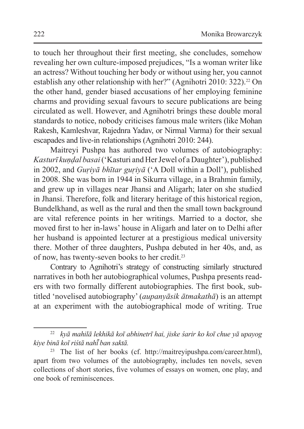to touch her throughout their first meeting, she concludes, somehow revealing her own culture-imposed prejudices, "Is a woman writer like an actress? Without touching her body or without using her, you cannot establish any other relationship with her?" (Agnihotri 2010: 322).<sup>22</sup> On the other hand, gender biased accusations of her employing feminine charms and providing sexual favours to secure publications are being circulated as well. However, and Agnihotri brings these double moral standards to notice, nobody criticises famous male writers (like Mohan Rakesh, Kamleshvar, Rajednra Yadav, or Nirmal Varma) for their sexual escapades and live-in relationships (Agnihotri 2010: 244).

Maitreyi Pushpa has authored two volumes of autobiography: *Kasturī kuṇḍal basai* ('Kasturi and HerJewel of a Daughter'), published in 2002, and *Guṛiyā bhītar guṛiyā* ('A Doll within a Doll'), published in 2008. She was born in 1944 in Sikurra village, in a Brahmin family, and grew up in villages near Jhansi and Aligarh; later on she studied in Jhansi. Therefore, folk and literary heritage of this historical region, Bundelkhand, as well as the rural and then the small town background are vital reference points in her writings. Married to a doctor, she moved first to her in-laws' house in Aligarh and later on to Delhi after her husband is appointed lecturer at a prestigious medical university there. Mother of three daughters, Pushpa debuted in her 40s, and, as of now, has twenty-seven books to her credit.<sup>23</sup>

Contrary to Agnihotri's strategy of constructing similarly structured narratives in both her autobiographical volumes, Pushpa presents readers with two formally different autobiographies. The first book, subtitled 'novelised autobiography' (*aupanyāsik ātmakathā*) is an attempt at an experiment with the autobiographical mode of writing. True

<sup>22</sup> *kyā mahilā lekhikā koī abhinetrī hai, jiske śarir ko koī chue yā upayog kiye binā koī riśtā nahī͂ ban saktā.*

<sup>23</sup> The list of her books (cf. http://maitreyipushpa.com/career.html), apart from two volumes of the autobiography, includes ten novels, seven collections of short stories, five volumes of essays on women, one play, and one book of reminiscences.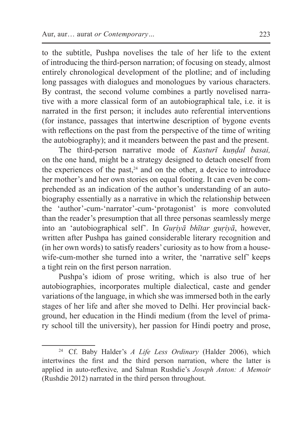to the subtitle, Pushpa novelises the tale of her life to the extent of introducing the third-person narration; of focusing on steady, almost entirely chronological development of the plotline; and of including long passages with dialogues and monologues by various characters. By contrast, the second volume combines a partly novelised narrative with a more classical form of an autobiographical tale, i.e. it is narrated in the first person; it includes auto referential interventions (for instance, passages that intertwine description of bygone events with reflections on the past from the perspective of the time of writing the autobiography); and it meanders between the past and the present.

The third-person narrative mode of *Kasturī kundal basai*, on the one hand, might be a strategy designed to detach oneself from the experiences of the past, $24$  and on the other, a device to introduce her mother's and her own stories on equal footing. It can even be comprehended as an indication of the author's understanding of an autobiography essentially as a narrative in which the relationship between the 'author'-cum-'narrator'-cum-'protagonist' is more convoluted than the reader's presumption that all three personas seamlessly merge into an 'autobiographical self'. In *Guṛiyā bhītar guṛiyā*, however, written after Pushpa has gained considerable literary recognition and (in her own words) to satisfy readers' curiosity as to how from a housewife-cum-mother she turned into a writer, the 'narrative self' keeps a tight rein on the first person narration.

Pushpa's idiom of prose writing, which is also true of her autobiographies, incorporates multiple dialectical, caste and gender variations of the language, in which she was immersed both in the early stages of her life and after she moved to Delhi. Her provincial background, her education in the Hindi medium (from the level of primary school till the university), her passion for Hindi poetry and prose,

<sup>24</sup> Cf. Baby Halder's *A Life Less Ordinary* (Halder 2006), which intertwines the first and the third person narration, where the latter is applied in auto-reflexive*,* and Salman Rushdie's *Joseph Anton: A Memoir*  (Rushdie 2012) narrated in the third person throughout.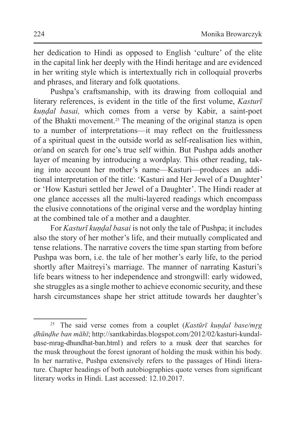her dedication to Hindi as opposed to English 'culture' of the elite in the capital link her deeply with the Hindi heritage and are evidenced in her writing style which is intertextually rich in colloquial proverbs and phrases, and literary and folk quotations.

Pushpa's craftsmanship, with its drawing from colloquial and literary references, is evident in the title of the first volume, *Kasturī kuṇḍal basai,* which comes from a verse by Kabir, a saint-poet of the Bhakti movement.25 The meaning of the original stanza is open to a number of interpretations—it may reflect on the fruitlessness of a spiritual quest in the outside world as self-realisation lies within, or/and on search for one's true self within. But Pushpa adds another layer of meaning by introducing a wordplay. This other reading, taking into account her mother's name—Kasturi—produces an additional interpretation of the title: 'Kasturi and Her Jewel of a Daughter' or 'How Kasturi settled her Jewel of a Daughter'. The Hindi reader at one glance accesses all the multi-layered readings which encompass the elusive connotations of the original verse and the wordplay hinting at the combined tale of a mother and a daughter.

For *Kasturī kuṇḍal basai* is not only the tale of Pushpa; it includes also the story of her mother's life, and their mutually complicated and tense relations. The narrative covers the time span starting from before Pushpa was born, i.e. the tale of her mother's early life, to the period shortly after Maitreyi's marriage. The manner of narrating Kasturi's life bears witness to her independence and strongwill: early widowed, she struggles as a single mother to achieve economic security, and these harsh circumstances shape her strict attitude towards her daughter's

<sup>&</sup>lt;sup>25</sup> The said verse comes from a couplet (*Kastūrī kundal base/mrg ḍhūnḍhe ban māhī*; http://santkabirdas.blogspot.com/2012/02/kasturi-kundalbase-mrag-dhundhat-ban.html) and refers to a musk deer that searches for the musk throughout the forest ignorant of holding the musk within his body. In her narrative, Pushpa extensively refers to the passages of Hindi literature. Chapter headings of both autobiographies quote verses from significant literary works in Hindi. Last accessed: 12.10.2017.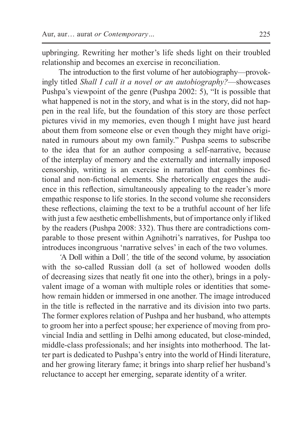upbringing. Rewriting her mother's life sheds light on their troubled relationship and becomes an exercise in reconciliation.

The introduction to the first volume of her autobiography—provokingly titled *Shall I call it a novel or an autobiography?*—showcases Pushpa's viewpoint of the genre (Pushpa 2002: 5), "It is possible that what happened is not in the story, and what is in the story, did not happen in the real life, but the foundation of this story are those perfect pictures vivid in my memories, even though I might have just heard about them from someone else or even though they might have originated in rumours about my own family." Pushpa seems to subscribe to the idea that for an author composing a self-narrative, because of the interplay of memory and the externally and internally imposed censorship, writing is an exercise in narration that combines fictional and non-fictional elements. She rhetorically engages the audience in this reflection, simultaneously appealing to the reader's more empathic response to life stories. In the second volume she reconsiders these reflections, claiming the text to be a truthful account of her life with just a few aesthetic embellishments, but of importance only if liked by the readers (Pushpa 2008: 332). Thus there are contradictions comparable to those present within Agnihotri's narratives, for Pushpa too introduces incongruous 'narrative selves' in each of the two volumes.

*'*A Doll within a Doll*',* the title of the second volume, by association with the so-called Russian doll (a set of hollowed wooden dolls of decreasing sizes that neatly fit one into the other), brings in a polyvalent image of a woman with multiple roles or identities that somehow remain hidden or immersed in one another. The image introduced in the title is reflected in the narrative and its division into two parts. The former explores relation of Pushpa and her husband, who attempts to groom her into a perfect spouse; her experience of moving from provincial India and settling in Delhi among educated, but close-minded, middle-class professionals; and her insights into motherhood. The latter part is dedicated to Pushpa's entry into the world of Hindi literature, and her growing literary fame; it brings into sharp relief her husband's reluctance to accept her emerging, separate identity of a writer.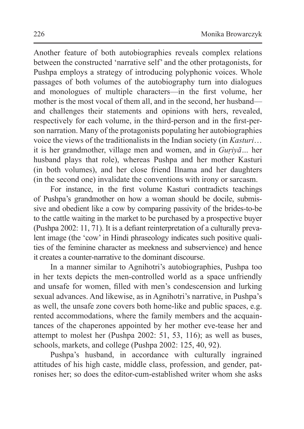Another feature of both autobiographies reveals complex relations between the constructed 'narrative self' and the other protagonists, for Pushpa employs a strategy of introducing polyphonic voices. Whole passages of both volumes of the autobiography turn into dialogues and monologues of multiple characters—in the first volume, her mother is the most vocal of them all, and in the second, her husband and challenges their statements and opinions with hers, revealed, respectively for each volume, in the third-person and in the first-person narration. Many of the protagonists populating her autobiographies voice the views of the traditionalists in the Indian society (in *Kasturi*… it is her grandmother, village men and women, and in *Guṛiyā…* her husband plays that role), whereas Pushpa and her mother Kasturi (in both volumes), and her close friend Ilnama and her daughters (in the second one) invalidate the conventions with irony or sarcasm.

For instance, in the first volume Kasturi contradicts teachings of Pushpa's grandmother on how a woman should be docile, submissive and obedient like a cow by comparing passivity of the brides-to-be to the cattle waiting in the market to be purchased by a prospective buyer (Pushpa 2002: 11, 71). It is a defiant reinterpretation of a culturally prevalent image (the 'cow' in Hindi phraseology indicates such positive qualities of the feminine character as meekness and subservience) and hence it creates a counter-narrative to the dominant discourse.

In a manner similar to Agnihotri's autobiographies, Pushpa too in her texts depicts the men-controlled world as a space unfriendly and unsafe for women, filled with men's condescension and lurking sexual advances. And likewise, as in Agnihotri's narrative, in Pushpa's as well, the unsafe zone covers both home-like and public spaces, e.g. rented accommodations, where the family members and the acquaintances of the chaperones appointed by her mother eve-tease her and attempt to molest her (Pushpa 2002: 51, 53, 116); as well as buses, schools, markets, and college (Pushpa 2002: 125, 40, 92).

Pushpa's husband, in accordance with culturally ingrained attitudes of his high caste, middle class, profession, and gender, patronises her; so does the editor-cum-established writer whom she asks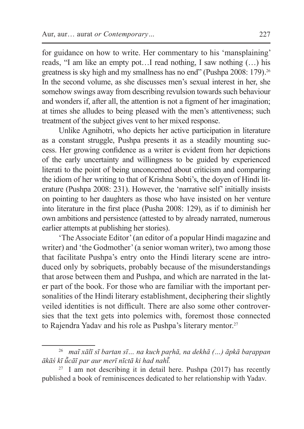for guidance on how to write. Her commentary to his 'mansplaining' reads, "I am like an empty pot…I read nothing, I saw nothing (…) his greatness is sky high and my smallness has no end" (Pushpa 2008: 179).<sup>26</sup> In the second volume, as she discusses men's sexual interest in her, she somehow swings away from describing revulsion towards such behaviour and wonders if, after all, the attention is not a figment of her imagination; at times she alludes to being pleased with the men's attentiveness; such treatment of the subject gives vent to her mixed response.

Unlike Agnihotri, who depicts her active participation in literature as a constant struggle, Pushpa presents it as a steadily mounting success. Her growing confidence as a writer is evident from her depictions of the early uncertainty and willingness to be guided by experienced literati to the point of being unconcerned about criticism and comparing the idiom of her writing to that of Krishna Sobti's, the doyen of Hindi literature (Pushpa 2008: 231). However, the 'narrative self' initially insists on pointing to her daughters as those who have insisted on her venture into literature in the first place (Pusha 2008: 129), as if to diminish her own ambitions and persistence (attested to by already narrated, numerous earlier attempts at publishing her stories).

'The Associate Editor'(an editor of a popular Hindi magazine and writer) and 'the Godmother' (a senior woman writer), two among those that facilitate Pushpa's entry onto the Hindi literary scene are introduced only by sobriquets, probably because of the misunderstandings that arose between them and Pushpa, and which are narrated in the later part of the book. For those who are familiar with the important personalities of the Hindi literary establishment, deciphering their slightly veiled identities is not difficult. There are also some other controversies that the text gets into polemics with, foremost those connected to Rajendra Yadav and his role as Pushpa's literary mentor.<sup>27</sup>

<sup>26</sup> *maĩ xālī sī bartan sī… na kuch paṛhā, na dekhā (…) āpkā baṛappan ākāś kī ū͂cāī par aur merī nīctā ki had nahī͂.* 

 $27 \text{ I am not describing it in detail here.}$  Pushpa (2017) has recently published a book of reminiscences dedicated to her relationship with Yadav.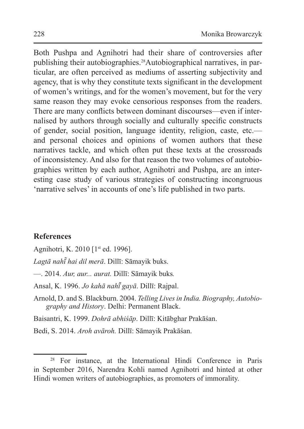Both Pushpa and Agnihotri had their share of controversies after publishing their autobiographies.28Autobiographical narratives, in particular, are often perceived as mediums of asserting subjectivity and agency, that is why they constitute texts significant in the development of women's writings, and for the women's movement, but for the very same reason they may evoke censorious responses from the readers. There are many conflicts between dominant discourses—even if internalised by authors through socially and culturally specific constructs of gender, social position, language identity, religion, caste, etc. and personal choices and opinions of women authors that these narratives tackle, and which often put these texts at the crossroads of inconsistency. And also for that reason the two volumes of autobiographies written by each author, Agnihotri and Pushpa, are an interesting case study of various strategies of constructing incongruous 'narrative selves' in accounts of one's life published in two parts.

## **References**

Agnihotri, K. 2010 [1<sup>st</sup> ed. 1996].

*Lagtā nahī hai dil merā ̃* . Dillī: Sāmayik buks.

—. 2014. *Aur, aur... aurat.* Dillī: Sāmayik buks*.*

Ansal, K. 1996. *Jo kahā nahī͂ gayā*. Dillī: Rajpal.

Arnold, D. and S. Blackburn. 2004. *Telling Lives in India. Biography, Autobiography and History*. Delhi: Permanent Black.

Baisantri, K. 1999. *Dohrā abhiśāp*. Dillī: Kitābghar Prakāśan.

Bedi, S. 2014. *Aroh avāroh.* Dillī: Sāmayik Prakāśan.

<sup>28</sup> For instance, at the International Hindi Conference in Paris in September 2016, Narendra Kohli named Agnihotri and hinted at other Hindi women writers of autobiographies, as promoters of immorality.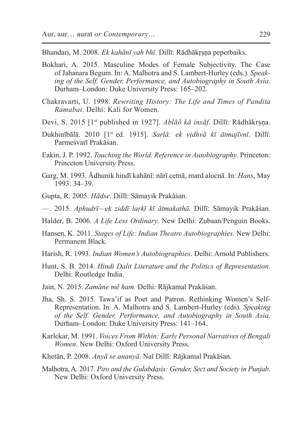Bhandari, M. 2008. *Ek kahānī yah bhī*. Dillī: Rādhākṛṣṇa peperbaiks.

- Bokhari, A. 2015. Masculine Modes of Female Subjectivity. The Case of Jahanara Begum. In: A. Malhotra and S. Lambert-Hurley (eds.). *Speaking of the Self. Gender, Performance, and Autobiography in South Asia*. Durham–London: Duke University Press: 165–202.
- Chakravarti, U. 1998. *Rewriting History: The Life and Times of Pandita Ramabai*. Delhi: Kali for Women.
- Devi, S. 2015 [1st published in 1927]. *Ablāõ kā insāf*. Dillī: Rādhākrṣṇa.
- Dukhinībālā. 2010 [1st ed. 1915]. *Sarlā: ek vidhvā kī ātmajīvnī*. Dillī: Parmeśvarī Prakāśan.
- Eakin, J. P. 1992. *Touching the World. Reference in Autobiography*. Princeton: Princeton University Press.
- Garg, M. 1993. Ādhunik hindī kahānī: nārī cetnā, mard alocnā. In: *Hans*, May 1993: 34–39.
- Gupta, R. 2005. *Hādse*. Dillī: Sāmayik Prakāśan.
- —. 2015. *Aphudrī—ek ziddī laṛkī kī ātmakathā.* Dillī: Sāmayik Prakāśan.
- Halder, B. 2006. *A Life Less Ordinary*. New Delhi: Zubaan/Penguin Books.
- Hansen, K. 2011. *Stages of Life: Indian Theatre Autobiographies.* New Delhi: Permanent Black
- Harish, R. 1993. *Indian Women's Autobiographies*. Delhi: Arnold Publishers.
- Hunt, S. B. 2014. *Hindi Dalit Literature and the Politics of Representation*. Delhi: Routledge India.
- Jain, N. 2015. *Zamāne mẽ ham.* Delhi: Rājkamal Prakāśan.
- Jha, Sh. S. 2015. Tawa'if as Poet and Patron. Rethinking Women's Self-Representation. In: A. Malhotra and S. Lambert-Hurley (eds). *Speaking of the Self. Gender, Performance, and Autobiography in South Asia*. Durham–London: Duke University Press: 141–164.
- Karlekar, M. 1991. *Voices From Within: Early Personal Narratives of Bengali Women*. New Delhi: Oxford University Press.
- Khetān, P. 2008. *Anyā se ananyā*. Naī Dillī: Rājkamal Prakāśan.
- Malhotra, A. 2017. *Piro and the Gulabdasis: Gender, Sect and Society in Punjab*. New Delhi: Oxford University Press.